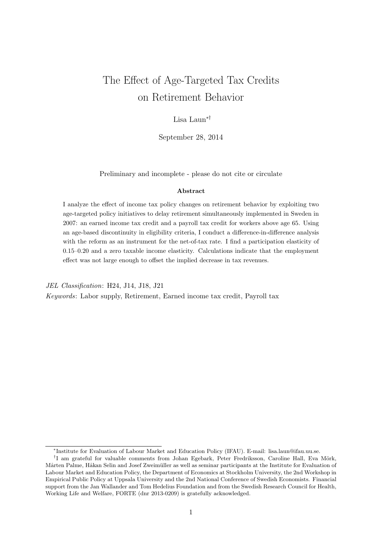# The Effect of Age-Targeted Tax Credits on Retirement Behavior

## Lisa Laun∗†

September 28, 2014

Preliminary and incomplete - please do not cite or circulate

#### Abstract

I analyze the effect of income tax policy changes on retirement behavior by exploiting two age-targeted policy initiatives to delay retirement simultaneously implemented in Sweden in 2007: an earned income tax credit and a payroll tax credit for workers above age 65. Using an age-based discontinuity in eligibility criteria, I conduct a difference-in-difference analysis with the reform as an instrument for the net-of-tax rate. I find a participation elasticity of 0.15–0.20 and a zero taxable income elasticity. Calculations indicate that the employment effect was not large enough to offset the implied decrease in tax revenues.

JEL Classification: H24, J14, J18, J21

Keywords: Labor supply, Retirement, Earned income tax credit, Payroll tax

<sup>∗</sup> Institute for Evaluation of Labour Market and Education Policy (IFAU). E-mail: lisa.laun@ifau.uu.se.

<sup>&</sup>lt;sup>†</sup>I am grateful for valuable comments from Johan Egebark, Peter Fredriksson, Caroline Hall, Eva Mörk, Mårten Palme, Håkan Selin and Josef Zweimüller as well as seminar participants at the Institute for Evaluation of Labour Market and Education Policy, the Department of Economics at Stockholm University, the 2nd Workshop in Empirical Public Policy at Uppsala University and the 2nd National Conference of Swedish Economists. Financial support from the Jan Wallander and Tom Hedelius Foundation and from the Swedish Research Council for Health, Working Life and Welfare, FORTE (dnr 2013-0209) is gratefully acknowledged.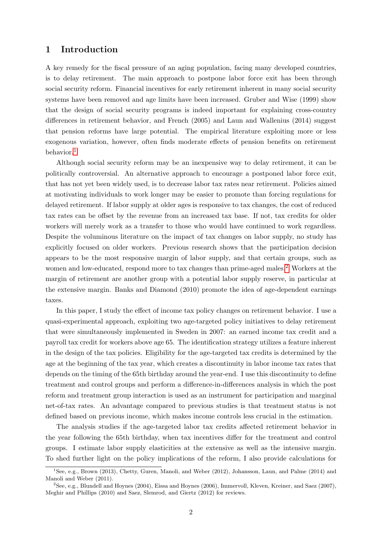## 1 Introduction

A key remedy for the fiscal pressure of an aging population, facing many developed countries, is to delay retirement. The main approach to postpone labor force exit has been through social security reform. Financial incentives for early retirement inherent in many social security systems have been removed and age limits have been increased. Gruber and Wise (1999) show that the design of social security programs is indeed important for explaining cross-country differences in retirement behavior, and French (2005) and Laun and Wallenius (2014) suggest that pension reforms have large potential. The empirical literature exploiting more or less exogenous variation, however, often finds moderate effects of pension benefits on retirement behavior.[1](#page-1-0)

Although social security reform may be an inexpensive way to delay retirement, it can be politically controversial. An alternative approach to encourage a postponed labor force exit, that has not yet been widely used, is to decrease labor tax rates near retirement. Policies aimed at motivating individuals to work longer may be easier to promote than forcing regulations for delayed retirement. If labor supply at older ages is responsive to tax changes, the cost of reduced tax rates can be offset by the revenue from an increased tax base. If not, tax credits for older workers will merely work as a transfer to those who would have continued to work regardless. Despite the voluminous literature on the impact of tax changes on labor supply, no study has explicitly focused on older workers. Previous research shows that the participation decision appears to be the most responsive margin of labor supply, and that certain groups, such as women and low-educated, respond more to tax changes than prime-aged males.<sup>[2](#page-1-1)</sup> Workers at the margin of retirement are another group with a potential labor supply reserve, in particular at the extensive margin. Banks and Diamond (2010) promote the idea of age-dependent earnings taxes.

In this paper, I study the effect of income tax policy changes on retirement behavior. I use a quasi-experimental approach, exploiting two age-targeted policy initiatives to delay retirement that were simultaneously implemented in Sweden in 2007: an earned income tax credit and a payroll tax credit for workers above age 65. The identification strategy utilizes a feature inherent in the design of the tax policies. Eligibility for the age-targeted tax credits is determined by the age at the beginning of the tax year, which creates a discontinuity in labor income tax rates that depends on the timing of the 65th birthday around the year-end. I use this discontinuity to define treatment and control groups and perform a difference-in-differences analysis in which the post reform and treatment group interaction is used as an instrument for participation and marginal net-of-tax rates. An advantage compared to previous studies is that treatment status is not defined based on previous income, which makes income controls less crucial in the estimation.

The analysis studies if the age-targeted labor tax credits affected retirement behavior in the year following the 65th birthday, when tax incentives differ for the treatment and control groups. I estimate labor supply elasticities at the extensive as well as the intensive margin. To shed further light on the policy implications of the reform, I also provide calculations for

<span id="page-1-0"></span><sup>1</sup>See, e.g., Brown (2013), Chetty, Guren, Manoli, and Weber (2012), Johansson, Laun, and Palme (2014) and Manoli and Weber (2011).

<span id="page-1-1"></span><sup>2</sup>See, e.g., Blundell and Hoynes (2004), Eissa and Hoynes (2006), Immervoll, Kleven, Kreiner, and Saez (2007), Meghir and Phillips (2010) and Saez, Slemrod, and Giertz (2012) for reviews.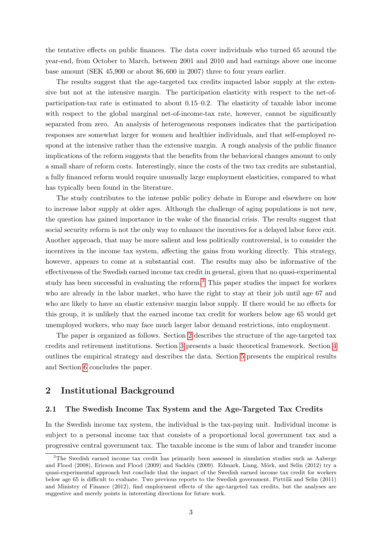the tentative effects on public finances. The data cover individuals who turned 65 around the year-end, from October to March, between 2001 and 2010 and had earnings above one income base amount (SEK 45,900 or about \$6, 600 in 2007) three to four years earlier.

The results suggest that the age-targeted tax credits impacted labor supply at the extensive but not at the intensive margin. The participation elasticity with respect to the net-ofparticipation-tax rate is estimated to about 0.15–0.2. The elasticity of taxable labor income with respect to the global marginal net-of-income-tax rate, however, cannot be significantly separated from zero. An analysis of heterogeneous responses indicates that the participation responses are somewhat larger for women and healthier individuals, and that self-employed respond at the intensive rather than the extensive margin. A rough analysis of the public finance implications of the reform suggests that the benefits from the behavioral changes amount to only a small share of reform costs. Interestingly, since the costs of the two tax credits are substantial, a fully financed reform would require unusually large employment elasticities, compared to what has typically been found in the literature.

The study contributes to the intense public policy debate in Europe and elsewhere on how to increase labor supply at older ages. Although the challenge of aging populations is not new, the question has gained importance in the wake of the financial crisis. The results suggest that social security reform is not the only way to enhance the incentives for a delayed labor force exit. Another approach, that may be more salient and less politically controversial, is to consider the incentives in the income tax system, affecting the gains from working directly. This strategy, however, appears to come at a substantial cost. The results may also be informative of the effectiveness of the Swedish earned income tax credit in general, given that no quasi-experimental study has been successful in evaluating the reform.[3](#page-2-0) This paper studies the impact for workers who are already in the labor market, who have the right to stay at their job until age 67 and who are likely to have an elastic extensive margin labor supply. If there would be no effects for this group, it is unlikely that the earned income tax credit for workers below age 65 would get unemployed workers, who may face much larger labor demand restrictions, into employment.

The paper is organized as follows. Section [2](#page-2-1) describes the structure of the age-targeted tax credits and retirement institutions. Section [3](#page-5-0) presents a basic theoretical framework. Section [4](#page-7-0) outlines the empirical strategy and describes the data. Section [5](#page-13-0) presents the empirical results and Section [6](#page-21-0) concludes the paper.

## <span id="page-2-1"></span>2 Institutional Background

#### 2.1 The Swedish Income Tax System and the Age-Targeted Tax Credits

In the Swedish income tax system, the individual is the tax-paying unit. Individual income is subject to a personal income tax that consists of a proportional local government tax and a progressive central government tax. The taxable income is the sum of labor and transfer income

<span id="page-2-0"></span><sup>&</sup>lt;sup>3</sup>The Swedish earned income tax credit has primarily been assessed in simulation studies such as Aaberge and Flood (2008), Ericson and Flood (2009) and Sacklén (2009). Edmark, Liang, Mörk, and Selin (2012) try a quasi-experimental approach but conclude that the impact of the Swedish earned income tax credit for workers below age 65 is difficult to evaluate. Two previous reports to the Swedish government, Pirttilä and Selin (2011) and Ministry of Finance (2012), find employment effects of the age-targeted tax credits, but the analyses are suggestive and merely points in interesting directions for future work.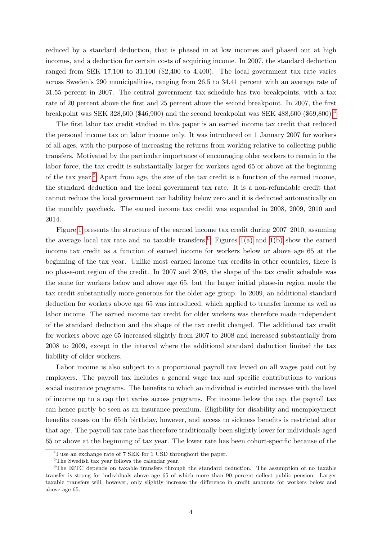reduced by a standard deduction, that is phased in at low incomes and phased out at high incomes, and a deduction for certain costs of acquiring income. In 2007, the standard deduction ranged from SEK 17,100 to 31,100 (\$2,400 to 4,400). The local government tax rate varies across Sweden's 290 municipalities, ranging from 26.5 to 34.41 percent with an average rate of 31.55 percent in 2007. The central government tax schedule has two breakpoints, with a tax rate of 20 percent above the first and 25 percent above the second breakpoint. In 2007, the first breakpoint was SEK 328,600 (\$46,900) and the second breakpoint was SEK 488,600 (\$69,800).[4](#page-3-0)

The first labor tax credit studied in this paper is an earned income tax credit that reduced the personal income tax on labor income only. It was introduced on 1 January 2007 for workers of all ages, with the purpose of increasing the returns from working relative to collecting public transfers. Motivated by the particular importance of encouraging older workers to remain in the labor force, the tax credit is substantially larger for workers aged 65 or above at the beginning of the tax year.[5](#page-3-1) Apart from age, the size of the tax credit is a function of the earned income, the standard deduction and the local government tax rate. It is a non-refundable credit that cannot reduce the local government tax liability below zero and it is deducted automatically on the monthly paycheck. The earned income tax credit was expanded in 2008, 2009, 2010 and 2014.

Figure [1](#page-4-0) presents the structure of the earned income tax credit during 2007–2010, assuming the average local tax rate and no taxable transfers.<sup>[6](#page-3-2)</sup> Figures [1\(a\)](#page-4-1) and [1\(b\)](#page-4-2) show the earned income tax credit as a function of earned income for workers below or above age 65 at the beginning of the tax year. Unlike most earned income tax credits in other countries, there is no phase-out region of the credit. In 2007 and 2008, the shape of the tax credit schedule was the same for workers below and above age 65, but the larger initial phase-in region made the tax credit substantially more generous for the older age group. In 2009, an additional standard deduction for workers above age 65 was introduced, which applied to transfer income as well as labor income. The earned income tax credit for older workers was therefore made independent of the standard deduction and the shape of the tax credit changed. The additional tax credit for workers above age 65 increased slightly from 2007 to 2008 and increased substantially from 2008 to 2009, except in the interval where the additional standard deduction limited the tax liability of older workers.

Labor income is also subject to a proportional payroll tax levied on all wages paid out by employers. The payroll tax includes a general wage tax and specific contributions to various social insurance programs. The benefits to which an individual is entitled increase with the level of income up to a cap that varies across programs. For income below the cap, the payroll tax can hence partly be seen as an insurance premium. Eligibility for disability and unemployment benefits ceases on the 65th birthday, however, and access to sickness benefits is restricted after that age. The payroll tax rate has therefore traditionally been slightly lower for individuals aged 65 or above at the beginning of tax year. The lower rate has been cohort-specific because of the

<span id="page-3-0"></span><sup>&</sup>lt;sup>4</sup>I use an exchange rate of 7 SEK for 1 USD throughout the paper.

<span id="page-3-2"></span><span id="page-3-1"></span> ${}^{5} \mathrm{The}$  Swedish tax year follows the calendar year.

<sup>&</sup>lt;sup>6</sup>The EITC depends on taxable transfers through the standard deduction. The assumption of no taxable transfer is strong for individuals above age 65 of which more than 90 percent collect public pension. Larger taxable transfers will, however, only slightly increase the difference in credit amounts for workers below and above age 65.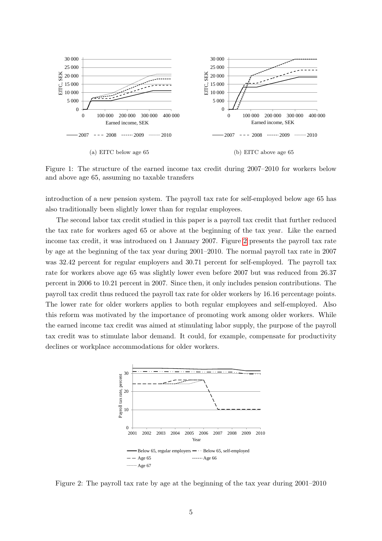<span id="page-4-1"></span><span id="page-4-0"></span>

<span id="page-4-2"></span>Figure 1: The structure of the earned income tax credit during 2007–2010 for workers below and above age 65, assuming no taxable transfers

introduction of a new pension system. The payroll tax rate for self-employed below age 65 has also traditionally been slightly lower than for regular employees.

The second labor tax credit studied in this paper is a payroll tax credit that further reduced the tax rate for workers aged 65 or above at the beginning of the tax year. Like the earned income tax credit, it was introduced on 1 January 2007. Figure [2](#page-4-3) presents the payroll tax rate by age at the beginning of the tax year during 2001–2010. The normal payroll tax rate in 2007 was 32.42 percent for regular employers and 30.71 percent for self-employed. The payroll tax rate for workers above age 65 was slightly lower even before 2007 but was reduced from 26.37 percent in 2006 to 10.21 percent in 2007. Since then, it only includes pension contributions. The payroll tax credit thus reduced the payroll tax rate for older workers by 16.16 percentage points. The lower rate for older workers applies to both regular employees and self-employed. Also this reform was motivated by the importance of promoting work among older workers. While the earned income tax credit was aimed at stimulating labor supply, the purpose of the payroll tax credit was to stimulate labor demand. It could, for example, compensate for productivity declines or workplace accommodations for older workers.

<span id="page-4-3"></span>

Figure 2: The payroll tax rate by age at the beginning of the tax year during 2001–2010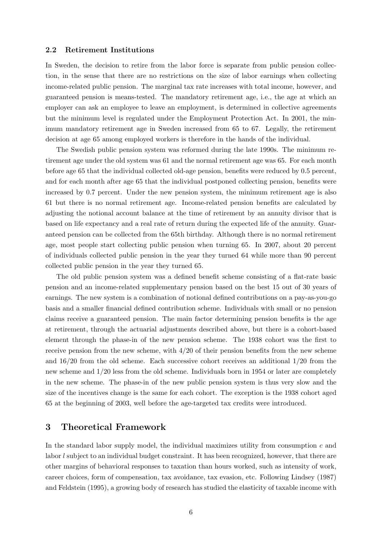#### <span id="page-5-1"></span>2.2 Retirement Institutions

In Sweden, the decision to retire from the labor force is separate from public pension collection, in the sense that there are no restrictions on the size of labor earnings when collecting income-related public pension. The marginal tax rate increases with total income, however, and guaranteed pension is means-tested. The mandatory retirement age, i.e., the age at which an employer can ask an employee to leave an employment, is determined in collective agreements but the minimum level is regulated under the Employment Protection Act. In 2001, the minimum mandatory retirement age in Sweden increased from 65 to 67. Legally, the retirement decision at age 65 among employed workers is therefore in the hands of the individual.

The Swedish public pension system was reformed during the late 1990s. The minimum retirement age under the old system was 61 and the normal retirement age was 65. For each month before age 65 that the individual collected old-age pension, benefits were reduced by 0.5 percent, and for each month after age 65 that the individual postponed collecting pension, benefits were increased by 0.7 percent. Under the new pension system, the minimum retirement age is also 61 but there is no normal retirement age. Income-related pension benefits are calculated by adjusting the notional account balance at the time of retirement by an annuity divisor that is based on life expectancy and a real rate of return during the expected life of the annuity. Guaranteed pension can be collected from the 65th birthday. Although there is no normal retirement age, most people start collecting public pension when turning 65. In 2007, about 20 percent of individuals collected public pension in the year they turned 64 while more than 90 percent collected public pension in the year they turned 65.

The old public pension system was a defined benefit scheme consisting of a flat-rate basic pension and an income-related supplementary pension based on the best 15 out of 30 years of earnings. The new system is a combination of notional defined contributions on a pay-as-you-go basis and a smaller financial defined contribution scheme. Individuals with small or no pension claims receive a guaranteed pension. The main factor determining pension benefits is the age at retirement, through the actuarial adjustments described above, but there is a cohort-based element through the phase-in of the new pension scheme. The 1938 cohort was the first to receive pension from the new scheme, with  $4/20$  of their pension benefits from the new scheme and 16/20 from the old scheme. Each successive cohort receives an additional 1/20 from the new scheme and 1/20 less from the old scheme. Individuals born in 1954 or later are completely in the new scheme. The phase-in of the new public pension system is thus very slow and the size of the incentives change is the same for each cohort. The exception is the 1938 cohort aged 65 at the beginning of 2003, well before the age-targeted tax credits were introduced.

## <span id="page-5-0"></span>3 Theoretical Framework

In the standard labor supply model, the individual maximizes utility from consumption  $c$  and labor l subject to an individual budget constraint. It has been recognized, however, that there are other margins of behavioral responses to taxation than hours worked, such as intensity of work, career choices, form of compensation, tax avoidance, tax evasion, etc. Following Lindsey (1987) and Feldstein (1995), a growing body of research has studied the elasticity of taxable income with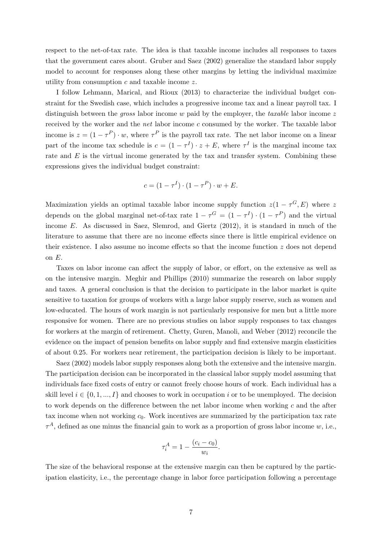respect to the net-of-tax rate. The idea is that taxable income includes all responses to taxes that the government cares about. Gruber and Saez (2002) generalize the standard labor supply model to account for responses along these other margins by letting the individual maximize utility from consumption c and taxable income z.

I follow Lehmann, Marical, and Rioux (2013) to characterize the individual budget constraint for the Swedish case, which includes a progressive income tax and a linear payroll tax. I distinguish between the *gross* labor income  $w$  paid by the employer, the *taxable* labor income  $z$ received by the worker and the net labor income c consumed by the worker. The taxable labor income is  $z = (1 - \tau^P) \cdot w$ , where  $\tau^P$  is the payroll tax rate. The net labor income on a linear part of the income tax schedule is  $c = (1 - \tau^I) \cdot z + E$ , where  $\tau^I$  is the marginal income tax rate and  $E$  is the virtual income generated by the tax and transfer system. Combining these expressions gives the individual budget constraint:

$$
c = (1 - \tau^I) \cdot (1 - \tau^P) \cdot w + E.
$$

Maximization yields an optimal taxable labor income supply function  $z(1 - \tau^G, E)$  where z depends on the global marginal net-of-tax rate  $1 - \tau^G = (1 - \tau^I) \cdot (1 - \tau^P)$  and the virtual income E. As discussed in Saez, Slemrod, and Giertz (2012), it is standard in much of the literature to assume that there are no income effects since there is little empirical evidence on their existence. I also assume no income effects so that the income function  $z$  does not depend on E.

Taxes on labor income can affect the supply of labor, or effort, on the extensive as well as on the intensive margin. Meghir and Phillips (2010) summarize the research on labor supply and taxes. A general conclusion is that the decision to participate in the labor market is quite sensitive to taxation for groups of workers with a large labor supply reserve, such as women and low-educated. The hours of work margin is not particularly responsive for men but a little more responsive for women. There are no previous studies on labor supply responses to tax changes for workers at the margin of retirement. Chetty, Guren, Manoli, and Weber (2012) reconcile the evidence on the impact of pension benefits on labor supply and find extensive margin elasticities of about 0.25. For workers near retirement, the participation decision is likely to be important.

Saez (2002) models labor supply responses along both the extensive and the intensive margin. The participation decision can be incorporated in the classical labor supply model assuming that individuals face fixed costs of entry or cannot freely choose hours of work. Each individual has a skill level  $i \in \{0, 1, ..., I\}$  and chooses to work in occupation i or to be unemployed. The decision to work depends on the difference between the net labor income when working  $c$  and the after tax income when not working  $c_0$ . Work incentives are summarized by the participation tax rate  $\tau^A$ , defined as one minus the financial gain to work as a proportion of gross labor income w, i.e.,

$$
\tau_i^A = 1 - \frac{(c_i - c_0)}{w_i}.
$$

The size of the behavioral response at the extensive margin can then be captured by the participation elasticity, i.e., the percentage change in labor force participation following a percentage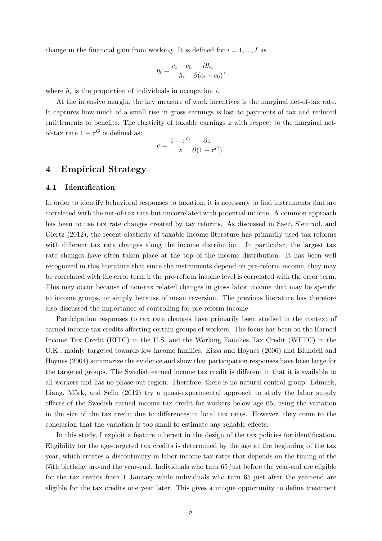change in the financial gain from working. It is defined for  $i = 1, ..., I$  as

$$
\eta_i = \frac{c_i - c_0}{h_i} \frac{\partial h_i}{\partial (c_i - c_0)},
$$

where  $h_i$  is the proportion of individuals in occupation i.

At the intensive margin, the key measure of work incentives is the marginal net-of-tax rate. It captures how much of a small rise in gross earnings is lost to payments of tax and reduced entitlements to benefits. The elasticity of taxable earnings z with respect to the marginal netof-tax rate  $1 - \tau^G$  is defined as:

$$
e = \frac{1 - \tau^G}{z} \frac{\partial z}{\partial (1 - \tau^G)}.
$$

## <span id="page-7-0"></span>4 Empirical Strategy

#### 4.1 Identification

In order to identify behavioral responses to taxation, it is necessary to find instruments that are correlated with the net-of-tax rate but uncorrelated with potential income. A common approach has been to use tax rate changes created by tax reforms. As discussed in Saez, Slemrod, and Giertz (2012), the recent elasticity of taxable income literature has primarily used tax reforms with different tax rate changes along the income distribution. In particular, the largest tax rate changes have often taken place at the top of the income distribution. It has been well recognized in this literature that since the instruments depend on pre-reform income, they may be correlated with the error term if the pre-reform income level is correlated with the error term. This may occur because of non-tax related changes in gross labor income that may be specific to income groups, or simply because of mean reversion. The previous literature has therefore also discussed the importance of controlling for pre-reform income.

Participation responses to tax rate changes have primarily been studied in the context of earned income tax credits affecting certain groups of workers. The focus has been on the Earned Income Tax Credit (EITC) in the U.S. and the Working Families Tax Credit (WFTC) in the U.K., mainly targeted towards low income families. Eissa and Hoynes (2006) and Blundell and Hoynes (2004) summarize the evidence and show that participation responses have been large for the targeted groups. The Swedish earned income tax credit is different in that it is available to all workers and has no phase-out region. Therefore, there is no natural control group. Edmark, Liang, Mörk, and Selin (2012) try a quasi-experimental approach to study the labor supply effects of the Swedish earned income tax credit for workers below age 65, using the variation in the size of the tax credit due to differences in local tax rates. However, they come to the conclusion that the variation is too small to estimate any reliable effects.

In this study, I exploit a feature inherent in the design of the tax policies for identification. Eligibility for the age-targeted tax credits is determined by the age at the beginning of the tax year, which creates a discontinuity in labor income tax rates that depends on the timing of the 65th birthday around the year-end. Individuals who turn 65 just before the year-end are eligible for the tax credits from 1 January while individuals who turn 65 just after the year-end are eligible for the tax credits one year later. This gives a unique opportunity to define treatment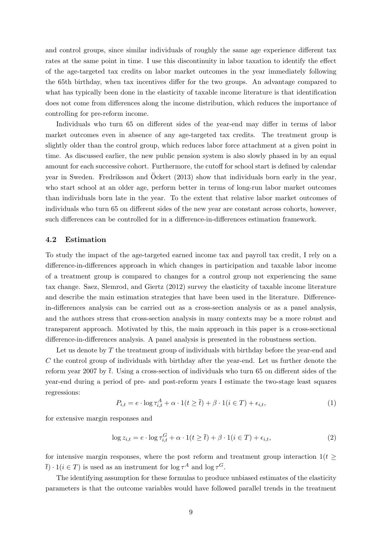and control groups, since similar individuals of roughly the same age experience different tax rates at the same point in time. I use this discontinuity in labor taxation to identify the effect of the age-targeted tax credits on labor market outcomes in the year immediately following the 65th birthday, when tax incentives differ for the two groups. An advantage compared to what has typically been done in the elasticity of taxable income literature is that identification does not come from differences along the income distribution, which reduces the importance of controlling for pre-reform income.

Individuals who turn 65 on different sides of the year-end may differ in terms of labor market outcomes even in absence of any age-targeted tax credits. The treatment group is slightly older than the control group, which reduces labor force attachment at a given point in time. As discussed earlier, the new public pension system is also slowly phased in by an equal amount for each successive cohort. Furthermore, the cutoff for school start is defined by calendar year in Sweden. Fredriksson and Ockert (2013) show that individuals born early in the year, who start school at an older age, perform better in terms of long-run labor market outcomes than individuals born late in the year. To the extent that relative labor market outcomes of individuals who turn 65 on different sides of the new year are constant across cohorts, however, such differences can be controlled for in a difference-in-differences estimation framework.

#### 4.2 Estimation

To study the impact of the age-targeted earned income tax and payroll tax credit, I rely on a difference-in-differences approach in which changes in participation and taxable labor income of a treatment group is compared to changes for a control group not experiencing the same tax change. Saez, Slemrod, and Giertz (2012) survey the elasticity of taxable income literature and describe the main estimation strategies that have been used in the literature. Differencein-differences analysis can be carried out as a cross-section analysis or as a panel analysis, and the authors stress that cross-section analysis in many contexts may be a more robust and transparent approach. Motivated by this, the main approach in this paper is a cross-sectional difference-in-differences analysis. A panel analysis is presented in the robustness section.

Let us denote by T the treatment group of individuals with birthday before the year-end and C the control group of individuals with birthday after the year-end. Let us further denote the reform year 2007 by  $\bar{t}$ . Using a cross-section of individuals who turn 65 on different sides of the year-end during a period of pre- and post-reform years I estimate the two-stage least squares regressions:

<span id="page-8-0"></span>
$$
P_{i,t} = e \cdot \log \tau_{i,t}^A + \alpha \cdot 1(t \ge \overline{t}) + \beta \cdot 1(i \in T) + \epsilon_{i,t},\tag{1}
$$

for extensive margin responses and

<span id="page-8-1"></span>
$$
\log z_{i,t} = e \cdot \log \tau_{i,t}^G + \alpha \cdot 1(t \ge \overline{t}) + \beta \cdot 1(i \in T) + \epsilon_{i,t},\tag{2}
$$

for intensive margin responses, where the post reform and treatment group interaction  $1(t \geq$  $\overline{t}) \cdot 1(i \in T)$  is used as an instrument for  $\log \tau^A$  and  $\log \tau^G$ .

The identifying assumption for these formulas to produce unbiased estimates of the elasticity parameters is that the outcome variables would have followed parallel trends in the treatment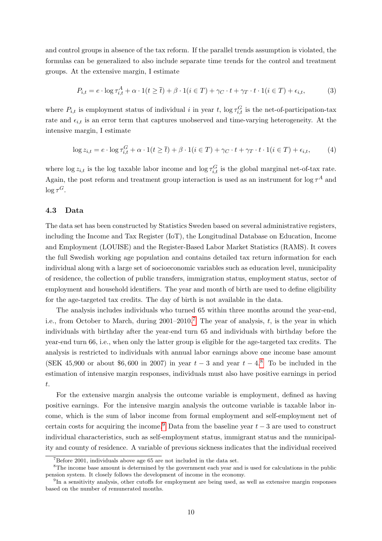and control groups in absence of the tax reform. If the parallel trends assumption is violated, the formulas can be generalized to also include separate time trends for the control and treatment groups. At the extensive margin, I estimate

<span id="page-9-3"></span>
$$
P_{i,t} = e \cdot \log \tau_{i,t}^A + \alpha \cdot 1(t \ge \overline{t}) + \beta \cdot 1(i \in T) + \gamma_C \cdot t + \gamma_T \cdot t \cdot 1(i \in T) + \epsilon_{i,t},\tag{3}
$$

where  $P_{i,t}$  is employment status of individual i in year t, log  $\tau_{i,t}^G$  is the net-of-participation-tax rate and  $\epsilon_{i,t}$  is an error term that captures unobserved and time-varying heterogeneity. At the intensive margin, I estimate

<span id="page-9-4"></span>
$$
\log z_{i,t} = e \cdot \log \tau_{i,t}^G + \alpha \cdot 1(t \ge \overline{t}) + \beta \cdot 1(i \in T) + \gamma_C \cdot t + \gamma_T \cdot t \cdot 1(i \in T) + \epsilon_{i,t},\tag{4}
$$

where  $\log z_{i,t}$  is the log taxable labor income and  $\log \tau_{i,t}^G$  is the global marginal net-of-tax rate. Again, the post reform and treatment group interaction is used as an instrument for  $\log \tau^A$  and  $\log \tau^G$ .

#### 4.3 Data

The data set has been constructed by Statistics Sweden based on several administrative registers, including the Income and Tax Register (IoT), the Longitudinal Database on Education, Income and Employment (LOUISE) and the Register-Based Labor Market Statistics (RAMS). It covers the full Swedish working age population and contains detailed tax return information for each individual along with a large set of socioeconomic variables such as education level, municipality of residence, the collection of public transfers, immigration status, employment status, sector of employment and household identifiers. The year and month of birth are used to define eligibility for the age-targeted tax credits. The day of birth is not available in the data.

The analysis includes individuals who turned 65 within three months around the year-end, i.e., from October to March, during  $2001-2010$ .<sup>[7](#page-9-0)</sup> The year of analysis, t, is the year in which individuals with birthday after the year-end turn 65 and individuals with birthday before the year-end turn 66, i.e., when only the latter group is eligible for the age-targeted tax credits. The analysis is restricted to individuals with annual labor earnings above one income base amount (SEK 45,900 or about \$6,600 in 2007) in year  $t-3$  and year  $t-4$ .<sup>[8](#page-9-1)</sup> To be included in the estimation of intensive margin responses, individuals must also have positive earnings in period t.

For the extensive margin analysis the outcome variable is employment, defined as having positive earnings. For the intensive margin analysis the outcome variable is taxable labor income, which is the sum of labor income from formal employment and self-employment net of certain costs for acquiring the income.<sup>[9](#page-9-2)</sup> Data from the baseline year  $t-3$  are used to construct individual characteristics, such as self-employment status, immigrant status and the municipality and county of residence. A variable of previous sickness indicates that the individual received

<span id="page-9-1"></span><span id="page-9-0"></span> $7B$ efore 2001, individuals above age 65 are not included in the data set.

<sup>&</sup>lt;sup>8</sup>The income base amount is determined by the government each year and is used for calculations in the public pension system. It closely follows the development of income in the economy.

<span id="page-9-2"></span><sup>9</sup> In a sensitivity analysis, other cutoffs for employment are being used, as well as extensive margin responses based on the number of remunerated months.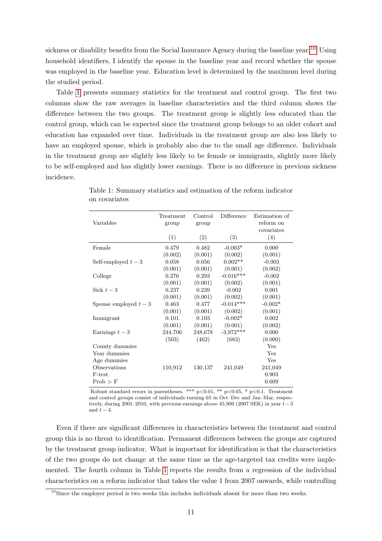sickness or disability benefits from the Social Insurance Agency during the baseline year.<sup>[10](#page-10-0)</sup> Using household identifiers, I identify the spouse in the baseline year and record whether the spouse was employed in the baseline year. Education level is determined by the maximum level during the studied period.

Table [1](#page-10-1) presents summary statistics for the treatment and control group. The first two columns show the raw averages in baseline characteristics and the third column shows the difference between the two groups. The treatment group is slightly less educated than the control group, which can be expected since the treatment group belongs to an older cohort and education has expanded over time. Individuals in the treatment group are also less likely to have an employed spouse, which is probably also due to the small age difference. Individuals in the treatment group are slightly less likely to be female or immigrants, slightly more likely to be self-employed and has slightly lower earnings. There is no difference in previous sickness incidence.

| Variables             | Treatment<br>group | Control<br>group | Difference  | Estimation of<br>reform on<br>covariates |
|-----------------------|--------------------|------------------|-------------|------------------------------------------|
|                       | (1)                | (2)              | (3)         | (4)                                      |
| Female                | 0.479              | 0.482            | $-0.003*$   | 0.000                                    |
|                       | (0.002)            | (0.001)          | (0.002)     | (0.001)                                  |
| Self-employed $t-3$   | 0.058              | 0.056            | $0.002**$   | $-0.003$                                 |
|                       | (0.001)            | (0.001)          | (0.001)     | (0.002)                                  |
| College               | 0.276              | 0.293            | $-0.016***$ | $-0.002$                                 |
|                       | (0.001)            | (0.001)          | (0.002)     | (0.001)                                  |
| Sick $t-3$            | 0.237              | 0.239            | $-0.002$    | 0.001                                    |
|                       | (0.001)            | (0.001)          | (0.002)     | (0.001)                                  |
| Spouse employed $t-3$ | 0.463              | 0.477            | $-0.014***$ | $-0.002*$                                |
|                       | (0.001)            | (0.001)          | (0.002)     | (0.001)                                  |
| Immigrant             | 0.101              | 0.103            | $-0.002*$   | 0.002                                    |
|                       | (0.001)            | (0.001)          | (0.001)     | (0.002)                                  |
| Earnings $t-3$        | 244,706            | 248,678          | $-3,972***$ | 0.000                                    |
|                       | (503)              | (462)            | (683)       | (0.000)                                  |
| County dummies        |                    |                  |             | Yes                                      |
| Year dummies          |                    |                  |             | Yes                                      |
| Age dummies           |                    |                  |             | Yes                                      |
| Observations          | 110,912            | 130,137          | 241,049     | 241,049                                  |
| F-test                |                    |                  |             | 0.903                                    |
| $Prob$ > F            |                    |                  |             | 0.609                                    |

<span id="page-10-1"></span>Table 1: Summary statistics and estimation of the reform indicator on covariates

Robust standard errors in parentheses. \*\*\*  $p<0.01$ , \*\*  $p<0.05$ , \*  $p<0.1$ . Treatment and control groups consist of individuals turning 65 in Oct–Dec and Jan–Mar, respectively, during 2001–2010, with previous earnings above 45,900 (2007 SEK) in year  $t-3$ and  $t - 4$ .

Even if there are significant differences in characteristics between the treatment and control group this is no threat to identification. Permanent differences between the groups are captured by the treatment group indicator. What is important for identification is that the characteristics of the two groups do not change at the same time as the age-targeted tax credits were implemented. The fourth column in Table [1](#page-10-1) reports the results from a regression of the individual characteristics on a reform indicator that takes the value 1 from 2007 onwards, while controlling

<span id="page-10-0"></span><sup>&</sup>lt;sup>10</sup>Since the employer period is two weeks this includes individuals absent for more than two weeks.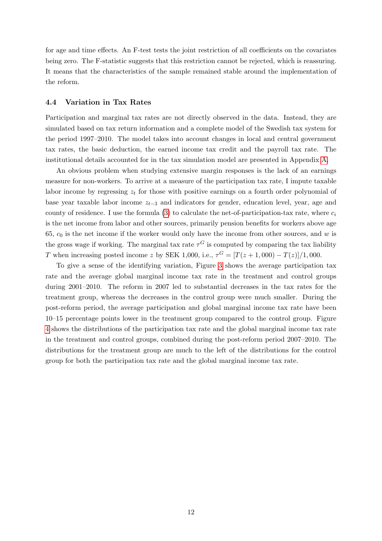for age and time effects. An F-test tests the joint restriction of all coefficients on the covariates being zero. The F-statistic suggests that this restriction cannot be rejected, which is reassuring. It means that the characteristics of the sample remained stable around the implementation of the reform.

#### 4.4 Variation in Tax Rates

Participation and marginal tax rates are not directly observed in the data. Instead, they are simulated based on tax return information and a complete model of the Swedish tax system for the period 1997–2010. The model takes into account changes in local and central government tax rates, the basic deduction, the earned income tax credit and the payroll tax rate. The institutional details accounted for in the tax simulation model are presented in Appendix [A.](#page-26-0)

An obvious problem when studying extensive margin responses is the lack of an earnings measure for non-workers. To arrive at a measure of the participation tax rate, I impute taxable labor income by regressing  $z_t$  for those with positive earnings on a fourth order polynomial of base year taxable labor income  $z_{t-3}$  and indicators for gender, education level, year, age and county of residence. I use the formula [\(3\)](#page-5-0) to calculate the net-of-participation-tax rate, where  $c_i$ is the net income from labor and other sources, primarily pension benefits for workers above age 65,  $c_0$  is the net income if the worker would only have the income from other sources, and w is the gross wage if working. The marginal tax rate  $\tau^G$  is computed by comparing the tax liability T when increasing posted income z by SEK 1,000, i.e.,  $\tau^G = [T(z+1,000) - T(z)]/1,000$ .

To give a sense of the identifying variation, Figure [3](#page-12-0) shows the average participation tax rate and the average global marginal income tax rate in the treatment and control groups during 2001–2010. The reform in 2007 led to substantial decreases in the tax rates for the treatment group, whereas the decreases in the control group were much smaller. During the post-reform period, the average participation and global marginal income tax rate have been 10–15 percentage points lower in the treatment group compared to the control group. Figure [4](#page-12-1) shows the distributions of the participation tax rate and the global marginal income tax rate in the treatment and control groups, combined during the post-reform period 2007–2010. The distributions for the treatment group are much to the left of the distributions for the control group for both the participation tax rate and the global marginal income tax rate.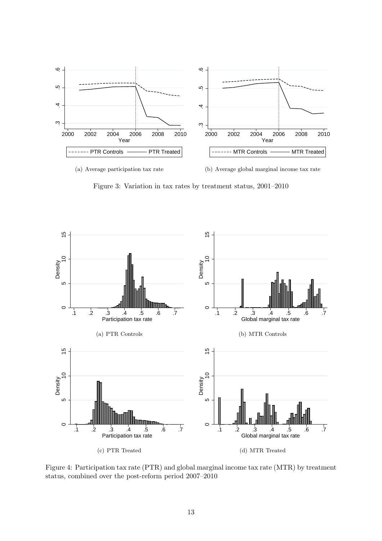<span id="page-12-0"></span>

(b) Average global marginal income tax rate

Figure 3: Variation in tax rates by treatment status, 2001–2010

<span id="page-12-1"></span>

Figure 4: Participation tax rate (PTR) and global marginal income tax rate (MTR) by treatment status, combined over the post-reform period 2007–2010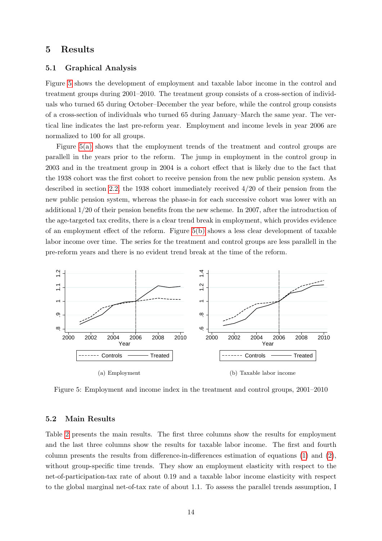## <span id="page-13-0"></span>5 Results

#### 5.1 Graphical Analysis

Figure [5](#page-13-1) shows the development of employment and taxable labor income in the control and treatment groups during 2001–2010. The treatment group consists of a cross-section of individuals who turned 65 during October–December the year before, while the control group consists of a cross-section of individuals who turned 65 during January–March the same year. The vertical line indicates the last pre-reform year. Employment and income levels in year 2006 are normalized to 100 for all groups.

Figure [5\(a\)](#page-13-2) shows that the employment trends of the treatment and control groups are parallell in the years prior to the reform. The jump in employment in the control group in 2003 and in the treatment group in 2004 is a cohort effect that is likely due to the fact that the 1938 cohort was the first cohort to receive pension from the new public pension system. As described in section [2.2,](#page-5-1) the 1938 cohort immediately received 4/20 of their pension from the new public pension system, whereas the phase-in for each successive cohort was lower with an additional 1/20 of their pension benefits from the new scheme. In 2007, after the introduction of the age-targeted tax credits, there is a clear trend break in employment, which provides evidence of an employment effect of the reform. Figure [5\(b\)](#page-13-3) shows a less clear development of taxable labor income over time. The series for the treatment and control groups are less parallell in the pre-reform years and there is no evident trend break at the time of the reform.

<span id="page-13-2"></span><span id="page-13-1"></span>

<span id="page-13-3"></span>Figure 5: Employment and income index in the treatment and control groups, 2001–2010

#### <span id="page-13-4"></span>5.2 Main Results

Table [2](#page-14-0) presents the main results. The first three columns show the results for employment and the last three columns show the results for taxable labor income. The first and fourth column presents the results from difference-in-differences estimation of equations [\(1\)](#page-8-0) and [\(2\)](#page-8-1), without group-specific time trends. They show an employment elasticity with respect to the net-of-participation-tax rate of about 0.19 and a taxable labor income elasticity with respect to the global marginal net-of-tax rate of about 1.1. To assess the parallel trends assumption, I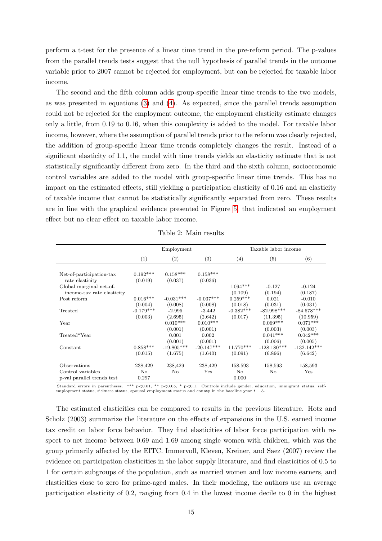perform a t-test for the presence of a linear time trend in the pre-reform period. The p-values from the parallel trends tests suggest that the null hypothesis of parallel trends in the outcome variable prior to 2007 cannot be rejected for employment, but can be rejected for taxable labor income.

The second and the fifth column adds group-specific linear time trends to the two models, as was presented in equations [\(3\)](#page-9-3) and [\(4\)](#page-9-4). As expected, since the parallel trends assumption could not be rejected for the employment outcome, the employment elasticity estimate changes only a little, from 0.19 to 0.16, when this complexity is added to the model. For taxable labor income, however, where the assumption of parallel trends prior to the reform was clearly rejected, the addition of group-specific linear time trends completely changes the result. Instead of a significant elasticity of 1.1, the model with time trends yields an elasticity estimate that is not statistically significantly different from zero. In the third and the sixth column, socioeconomic control variables are added to the model with group-specific linear time trends. This has no impact on the estimated effects, still yielding a participation elasticity of 0.16 and an elasticity of taxable income that cannot be statistically significantly separated from zero. These results are in line with the graphical evidence presented in Figure [5,](#page-13-1) that indicated an employment effect but no clear effect on taxable labor income.

<span id="page-14-0"></span>

|                                                       | Employment  |                             |                             |                       | Taxable labor income             |                                  |
|-------------------------------------------------------|-------------|-----------------------------|-----------------------------|-----------------------|----------------------------------|----------------------------------|
|                                                       | (1)         | (2)                         | (3)                         | (4)                   | (5)                              | (6)                              |
| Net-of-participation-tax                              | $0.192***$  | $0.158***$                  | $0.158***$                  |                       |                                  |                                  |
| rate elasticity                                       | (0.019)     | (0.037)                     | (0.036)                     |                       |                                  |                                  |
| Global marginal net-of-<br>income-tax rate elasticity |             |                             |                             | $1.094***$<br>(0.109) | $-0.127$<br>(0.194)              | $-0.124$<br>(0.187)              |
| Post reform                                           | $0.016***$  | $-0.031***$                 | $-0.037***$                 | $0.259***$            | 0.021                            | $-0.010$                         |
|                                                       | (0.004)     | (0.008)                     | (0.008)                     | (0.018)               | (0.031)                          | (0.031)                          |
| Treated                                               | $-0.179***$ | $-2.995$                    | $-3.442$                    | $-0.382***$           | $-82.998***$                     | $-84.678***$                     |
|                                                       | (0.003)     | (2.695)                     | (2.642)                     | (0.017)               | (11.395)                         | (10.959)                         |
| Year                                                  |             | $0.010***$                  | $0.010***$                  |                       | $0.069***$                       | $0.071***$                       |
| Treated*Year                                          |             | (0.001)<br>0.001<br>(0.001) | (0.001)<br>0.002<br>(0.001) |                       | (0.003)<br>$0.041***$<br>(0.006) | (0.003)<br>$0.042***$<br>(0.005) |
| Constant                                              | $0.858***$  | $-19.805***$                | $-20.147***$                | $11.770***$           | $-128.180***$                    | $-132.142***$                    |
|                                                       | (0.015)     | (1.675)                     | (1.640)                     | (0.091)               | (6.896)                          | (6.642)                          |
| Observations                                          | 238,429     | 238,429                     | 238,429                     | 158,593               | 158,593                          | 158,593                          |
| Control variables                                     | No          | No                          | Yes                         | No                    | No                               | Yes                              |
| p-val parallel trends test                            | 0.297       |                             |                             | 0.000                 |                                  |                                  |

Table 2: Main results

Standard errors in parentheses. \*\*\* p<0.01, \*\* p<0.05, \* p<0.1. Controls include gender, education, immigrant status, self-<br>employment status, sickness status, spousal employment status and county in the baseline year  $t-$ 

The estimated elasticities can be compared to results in the previous literature. Hotz and Scholz (2003) summarize the literature on the effects of expansions in the U.S. earned income tax credit on labor force behavior. They find elasticities of labor force participation with respect to net income between 0.69 and 1.69 among single women with children, which was the group primarily affected by the EITC. Immervoll, Kleven, Kreiner, and Saez (2007) review the evidence on participation elasticities in the labor supply literature, and find elasticities of 0.5 to 1 for certain subgroups of the population, such as married women and low income earners, and elasticities close to zero for prime-aged males. In their modeling, the authors use an average participation elasticity of 0.2, ranging from 0.4 in the lowest income decile to 0 in the highest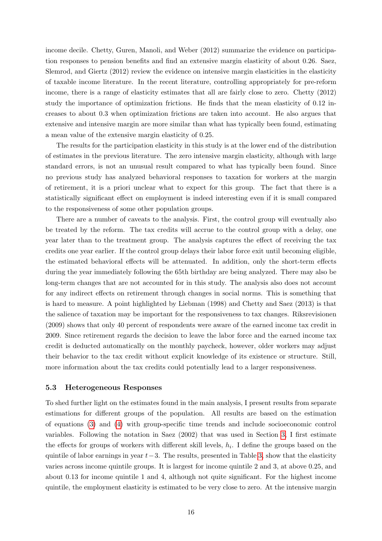income decile. Chetty, Guren, Manoli, and Weber (2012) summarize the evidence on participation responses to pension benefits and find an extensive margin elasticity of about 0.26. Saez, Slemrod, and Giertz (2012) review the evidence on intensive margin elasticities in the elasticity of taxable income literature. In the recent literature, controlling appropriately for pre-reform income, there is a range of elasticity estimates that all are fairly close to zero. Chetty (2012) study the importance of optimization frictions. He finds that the mean elasticity of 0.12 increases to about 0.3 when optimization frictions are taken into account. He also argues that extensive and intensive margin are more similar than what has typically been found, estimating a mean value of the extensive margin elasticity of 0.25.

The results for the participation elasticity in this study is at the lower end of the distribution of estimates in the previous literature. The zero intensive margin elasticity, although with large standard errors, is not an unusual result compared to what has typically been found. Since no previous study has analyzed behavioral responses to taxation for workers at the margin of retirement, it is a priori unclear what to expect for this group. The fact that there is a statistically significant effect on employment is indeed interesting even if it is small compared to the responsiveness of some other population groups.

There are a number of caveats to the analysis. First, the control group will eventually also be treated by the reform. The tax credits will accrue to the control group with a delay, one year later than to the treatment group. The analysis captures the effect of receiving the tax credits one year earlier. If the control group delays their labor force exit until becoming eligible, the estimated behavioral effects will be attenuated. In addition, only the short-term effects during the year immediately following the 65th birthday are being analyzed. There may also be long-term changes that are not accounted for in this study. The analysis also does not account for any indirect effects on retirement through changes in social norms. This is something that is hard to measure. A point highlighted by Liebman (1998) and Chetty and Saez (2013) is that the salience of taxation may be important for the responsiveness to tax changes. Riksrevisionen (2009) shows that only 40 percent of respondents were aware of the earned income tax credit in 2009. Since retirement regards the decision to leave the labor force and the earned income tax credit is deducted automatically on the monthly paycheck, however, older workers may adjust their behavior to the tax credit without explicit knowledge of its existence or structure. Still, more information about the tax credits could potentially lead to a larger responsiveness.

#### <span id="page-15-0"></span>5.3 Heterogeneous Responses

To shed further light on the estimates found in the main analysis, I present results from separate estimations for different groups of the population. All results are based on the estimation of equations [\(3\)](#page-9-3) and [\(4\)](#page-9-4) with group-specific time trends and include socioeconomic control variables. Following the notation in Saez (2002) that was used in Section [3,](#page-5-0) I first estimate the effects for groups of workers with different skill levels,  $h_i$ . I define the groups based on the quintile of labor earnings in year  $t-3$ . The results, presented in Table [3,](#page-16-0) show that the elasticity varies across income quintile groups. It is largest for income quintile 2 and 3, at above 0.25, and about 0.13 for income quintile 1 and 4, although not quite significant. For the highest income quintile, the employment elasticity is estimated to be very close to zero. At the intensive margin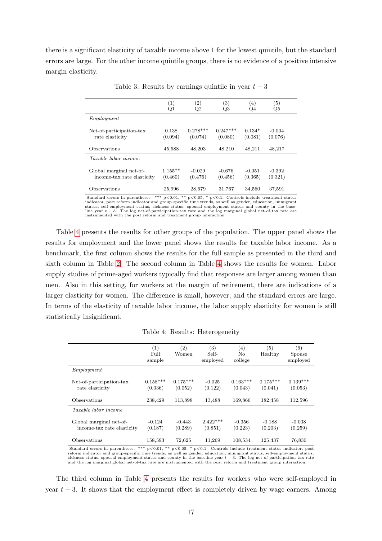<span id="page-16-0"></span>there is a significant elasticity of taxable income above 1 for the lowest quintile, but the standard errors are large. For the other income quintile groups, there is no evidence of a positive intensive margin elasticity.

|                             | $\left(1\right)$ | $\left( 2\right)$ | $\left( 3\right)$ | $\left( 4\right)$ | $\left( 5\right)$ |
|-----------------------------|------------------|-------------------|-------------------|-------------------|-------------------|
|                             | $_{\rm Q1}$      | Q2                | Q3                | Q4                | Q5                |
| Emploument                  |                  |                   |                   |                   |                   |
| Net-of-participation-tax    | 0.138            | $0.278***$        | $0.247***$        | $0.134*$          | $-0.004$          |
| rate elasticity             | (0.094)          | (0.074)           | (0.080)           | (0.081)           | (0.076)           |
| Observations                | 45,588           | 48,203            | 48,210            | 48,211            | 48,217            |
| <i>Taxable labor income</i> |                  |                   |                   |                   |                   |
| Global marginal net-of-     | $1.155**$        | $-0.029$          | $-0.676$          | $-0.051$          | $-0.392$          |
| income-tax rate elasticity  | (0.460)          | (0.476)           | (0.456)           | (0.365)           | (0.321)           |
| Observations                | 25,996           | 28,679            | 31,767            | 34,560            | 37,591            |

Table 3: Results by earnings quintile in year  $t-3$ 

Standard errors in parentheses. \*\*\*  $p<0.01$ , \*\*  $p<0.05$ , \*  $p<0.1$ . Controls include treatment status indicator, post reform indicator and group-specific time trends, as well as gender, education, immigrant status, self instrumented with the post reform and treatment group interaction.

Table [4](#page-16-1) presents the results for other groups of the population. The upper panel shows the results for employment and the lower panel shows the results for taxable labor income. As a benchmark, the first column shows the results for the full sample as presented in the third and sixth column in Table [2.](#page-14-0) The second column in Table [4](#page-16-1) shows the results for women. Labor supply studies of prime-aged workers typically find that responses are larger among women than men. Also in this setting, for workers at the margin of retirement, there are indications of a larger elasticity for women. The difference is small, however, and the standard errors are large. In terms of the elasticity of taxable labor income, the labor supply elasticity for women is still statistically insignificant.

<span id="page-16-1"></span>

|                                                       | (1)<br>Full<br>sample | (2)<br>Women          | (3)<br>Self-<br>employed                                                                                     | (4)<br>No<br>college  | (5)<br>Healthy        | (6)<br>Spouse<br>employed |
|-------------------------------------------------------|-----------------------|-----------------------|--------------------------------------------------------------------------------------------------------------|-----------------------|-----------------------|---------------------------|
| Employment                                            |                       |                       |                                                                                                              |                       |                       |                           |
| Net-of-participation-tax<br>rate elasticity           | $0.158***$<br>(0.036) | $0.175***$<br>(0.052) | $-0.025$<br>(0.122)                                                                                          | $0.163***$<br>(0.043) | $0.175***$<br>(0.041) | $0.139***$<br>(0.053)     |
| Observations                                          | 238,429               | 113,898               | 13,488                                                                                                       | 169,866               | 182,458               | 112,596                   |
| <i>Taxable labor income</i>                           |                       |                       |                                                                                                              |                       |                       |                           |
| Global marginal net-of-<br>income-tax rate elasticity | $-0.124$<br>(0.187)   | $-0.443$<br>(0.289)   | $2.422***$<br>(0.851)                                                                                        | $-0.356$<br>(0.223)   | $-0.188$<br>(0.203)   | $-0.038$<br>(0.259)       |
| Observations<br>Standard oppose in paranthosog.       | 158,593               | 72,625                | 11,269<br>$***$ $\sim$ 0.01 $**$ $\sim$ 0.05 $*$ $\sim$ 0.1 Controls include treatment status indicator post | 108,534               | 125,437               | 76,830                    |

Table 4: Results: Heterogeneity

Standard errors in parentheses. \*\*\*  $p<0.01$ , \*\*  $p<0.05$ , \*  $p<0.1$ . Controls include treatment status indicator, post<br>reform indicator and group-specific time trends, as well as gender, education, immigrant status, self

The third column in Table [4](#page-16-1) presents the results for workers who were self-employed in year  $t - 3$ . It shows that the employment effect is completely driven by wage earners. Among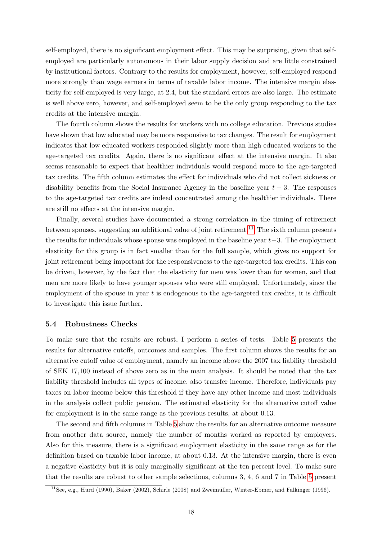self-employed, there is no significant employment effect. This may be surprising, given that selfemployed are particularly autonomous in their labor supply decision and are little constrained by institutional factors. Contrary to the results for employment, however, self-employed respond more strongly than wage earners in terms of taxable labor income. The intensive margin elasticity for self-employed is very large, at 2.4, but the standard errors are also large. The estimate is well above zero, however, and self-employed seem to be the only group responding to the tax credits at the intensive margin.

The fourth column shows the results for workers with no college education. Previous studies have shown that low educated may be more responsive to tax changes. The result for employment indicates that low educated workers responded slightly more than high educated workers to the age-targeted tax credits. Again, there is no significant effect at the intensive margin. It also seems reasonable to expect that healthier individuals would respond more to the age-targeted tax credits. The fifth column estimates the effect for individuals who did not collect sickness or disability benefits from the Social Insurance Agency in the baseline year  $t-3$ . The responses to the age-targeted tax credits are indeed concentrated among the healthier individuals. There are still no effects at the intensive margin.

Finally, several studies have documented a strong correlation in the timing of retirement between spouses, suggesting an additional value of joint retirement.<sup>[11](#page-17-0)</sup> The sixth column presents the results for individuals whose spouse was employed in the baseline year  $t-3$ . The employment elasticity for this group is in fact smaller than for the full sample, which gives no support for joint retirement being important for the responsiveness to the age-targeted tax credits. This can be driven, however, by the fact that the elasticity for men was lower than for women, and that men are more likely to have younger spouses who were still employed. Unfortunately, since the employment of the spouse in year  $t$  is endogenous to the age-targeted tax credits, it is difficult to investigate this issue further.

#### 5.4 Robustness Checks

To make sure that the results are robust, I perform a series of tests. Table [5](#page-18-0) presents the results for alternative cutoffs, outcomes and samples. The first column shows the results for an alternative cutoff value of employment, namely an income above the 2007 tax liability threshold of SEK 17,100 instead of above zero as in the main analysis. It should be noted that the tax liability threshold includes all types of income, also transfer income. Therefore, individuals pay taxes on labor income below this threshold if they have any other income and most individuals in the analysis collect public pension. The estimated elasticity for the alternative cutoff value for employment is in the same range as the previous results, at about 0.13.

The second and fifth columns in Table [5](#page-18-0) show the results for an alternative outcome measure from another data source, namely the number of months worked as reported by employers. Also for this measure, there is a significant employment elasticity in the same range as for the definition based on taxable labor income, at about 0.13. At the intensive margin, there is even a negative elasticity but it is only marginally significant at the ten percent level. To make sure that the results are robust to other sample selections, columns 3, 4, 6 and 7 in Table [5](#page-18-0) present

<span id="page-17-0"></span> $11$ See, e.g., Hurd (1990), Baker (2002), Schirle (2008) and Zweimüller, Winter-Ebmer, and Falkinger (1996).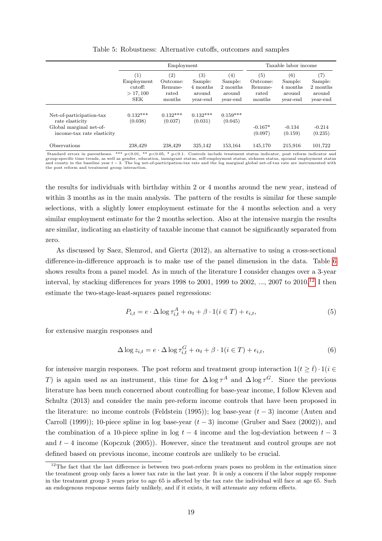<span id="page-18-0"></span>

|                                                                                                      |                                                        |                                                             | Taxable labor income                                           |                                                  |                                               |                                                  |                                                                |
|------------------------------------------------------------------------------------------------------|--------------------------------------------------------|-------------------------------------------------------------|----------------------------------------------------------------|--------------------------------------------------|-----------------------------------------------|--------------------------------------------------|----------------------------------------------------------------|
|                                                                                                      | (1)<br>Employment<br>cutoff:<br>> 17,100<br><b>SEK</b> | $\left( 2\right)$<br>Outcome:<br>Remune-<br>rated<br>months | $\left( 3\right)$<br>Sample:<br>4 months<br>around<br>year-end | (4)<br>Sample:<br>2 months<br>around<br>year-end | (5)<br>Outcome:<br>Remune-<br>rated<br>months | (6)<br>Sample:<br>4 months<br>around<br>year-end | $\left( 7\right)$<br>Sample:<br>2 months<br>around<br>year-end |
| Net-of-participation-tax<br>rate elasticity<br>Global marginal net-of-<br>income-tax rate elasticity | $0.132***$<br>(0.038)                                  | $0.132***$<br>(0.037)                                       | $0.132***$<br>(0.031)                                          | $0.159***$<br>(0.045)                            | $-0.167*$<br>(0.097)                          | $-0.134$<br>(0.159)                              | $-0.214$<br>(0.235)                                            |
| Observations                                                                                         | 238.429                                                | 238.429                                                     | 325.142                                                        | 153,164                                          | 145,170                                       | 215.916                                          | 101,722                                                        |

Table 5: Robustness: Alternative cutoffs, outcomes and samples

Standard errors in parentheses. \*\*\*  $p<0.01$ , \*\*  $p<0.05$ , \*  $p<0.1$ . Controls include treatment status indicator, post reform indicator and<br>group-specific time trends, as well as gender, education, immigrant status, self and county in the baseline year t − 3. The log net-of-participation-tax rate and the log marginal global net-of-tax rate are instrumented with the post reform and treatment group interaction.

the results for individuals with birthday within 2 or 4 months around the new year, instead of within 3 months as in the main analysis. The pattern of the results is similar for these sample selections, with a slightly lower employment estimate for the 4 months selection and a very similar employment estimate for the 2 months selection. Also at the intensive margin the results are similar, indicating an elasticity of taxable income that cannot be significantly separated from zero.

As discussed by Saez, Slemrod, and Giertz (2012), an alternative to using a cross-sectional difference-in-difference approach is to make use of the panel dimension in the data. Table [6](#page-19-0) shows results from a panel model. As in much of the literature I consider changes over a 3-year interval, by stacking differences for years 1998 to 2001, 1999 to 2002, ..., 2007 to 2010.<sup>[12](#page-18-1)</sup> I then estimate the two-stage-least-squares panel regressions:

$$
P_{i,t} = e \cdot \Delta \log \tau_{i,t}^A + \alpha_t + \beta \cdot 1(i \in T) + \epsilon_{i,t},\tag{5}
$$

for extensive margin responses and

$$
\Delta \log z_{i,t} = e \cdot \Delta \log \tau_{i,t}^G + \alpha_t + \beta \cdot 1 (i \in T) + \epsilon_{i,t}, \tag{6}
$$

for intensive margin responses. The post reform and treatment group interaction  $1(t > \bar{t}) \cdot 1(i \in$ T) is again used as an instrument, this time for  $\Delta \log \tau^A$  and  $\Delta \log \tau^G$ . Since the previous literature has been much concerned about controlling for base-year income, I follow Kleven and Schultz (2013) and consider the main pre-reform income controls that have been proposed in the literature: no income controls (Feldstein (1995)); log base-year  $(t-3)$  income (Auten and Carroll (1999)); 10-piece spline in log base-year  $(t-3)$  income (Gruber and Saez (2002)), and the combination of a 10-piece spline in log  $t - 4$  income and the log-deviation between  $t - 3$ and  $t - 4$  income (Kopczuk (2005)). However, since the treatment and control groups are not defined based on previous income, income controls are unlikely to be crucial.

<span id="page-18-1"></span><sup>&</sup>lt;sup>12</sup>The fact that the last difference is between two post-reform years poses no problem in the estimation since the treatment group only faces a lower tax rate in the last year. It is only a concern if the labor supply response in the treatment group 3 years prior to age 65 is affected by the tax rate the individual will face at age 65. Such an endogenous response seems fairly unlikely, and if it exists, it will attenuate any reform effects.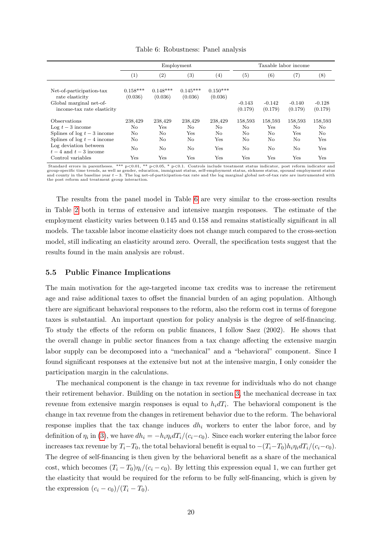<span id="page-19-0"></span>

|                                                                                                      |                       | Employment              |                       |                       |                     |                     | Taxable labor income |                     |
|------------------------------------------------------------------------------------------------------|-----------------------|-------------------------|-----------------------|-----------------------|---------------------|---------------------|----------------------|---------------------|
|                                                                                                      | (1)                   | $\left( 2\right)$       | $\left( 3\right)$     | (4)                   | (5)                 | $^{\rm (6)}$        | $\scriptstyle{(7)}$  | $^{(8)}$            |
| Net-of-participation-tax<br>rate elasticity<br>Global marginal net-of-<br>income-tax rate elasticity | $0.158***$<br>(0.036) | $0.148***$<br>(0.036)   | $0.145***$<br>(0.036) | $0.150***$<br>(0.036) | $-0.143$<br>(0.179) | $-0.142$<br>(0.179) | $-0.140$<br>(0.179)  | $-0.128$<br>(0.179) |
| <b>Observations</b><br>Log $t-3$ income                                                              | 238,429<br>No         | 238,429<br>$_{\rm Yes}$ | 238,429<br>No.        | 238,429<br>No.        | 158,593<br>No       | 158,593<br>Yes      | 158,593<br>No        | 158,593<br>No       |
| Splines of $log t - 3$ income<br>Splines of $log t - 4$ income                                       | No<br>No              | No<br>No                | Yes<br>No             | No.<br>Yes            | No<br>No            | No<br>No            | Yes<br>No            | No<br>Yes           |
| Log deviation between<br>$t-4$ and $t-3$ income                                                      | No                    | No                      | $\rm No$              | Yes                   | No                  | No                  | No                   | Yes                 |
| Control variables                                                                                    | Yes                   | Yes                     | Yes                   | Yes                   | Yes                 | Yes                 | Yes                  | Yes                 |

Table 6: Robustness: Panel analysis

Standard errors in parentheses. \*\*\* p<0.01, \*\* p<0.05, \* p<0.1. Controls include treatment status indicator, post reform indicator and group-specific time trends, as well as gender, education, immigrant status, self-employment status, sickness status, spousal employment status<br>and county in the baseline year  $t-3$ . The log net-of-participation-tax rate an the post reform and treatment group interaction.

The results from the panel model in Table [6](#page-19-0) are very similar to the cross-section results in Table [2](#page-14-0) both in terms of extensive and intensive margin responses. The estimate of the employment elasticity varies between 0.145 and 0.158 and remains statistically significant in all models. The taxable labor income elasticity does not change much compared to the cross-section model, still indicating an elasticity around zero. Overall, the specification tests suggest that the results found in the main analysis are robust.

#### 5.5 Public Finance Implications

The main motivation for the age-targeted income tax credits was to increase the retirement age and raise additional taxes to offset the financial burden of an aging population. Although there are significant behavioral responses to the reform, also the reform cost in terms of foregone taxes is substantial. An important question for policy analysis is the degree of self-financing. To study the effects of the reform on public finances, I follow Saez (2002). He shows that the overall change in public sector finances from a tax change affecting the extensive margin labor supply can be decomposed into a "mechanical" and a "behavioral" component. Since I found significant responses at the extensive but not at the intensive margin, I only consider the participation margin in the calculations.

The mechanical component is the change in tax revenue for individuals who do not change their retirement behavior. Building on the notation in section [3,](#page-5-0) the mechanical decrease in tax revenue from extensive margin responses is equal to  $h_i dT_i$ . The behavioral component is the change in tax revenue from the changes in retirement behavior due to the reform. The behavioral response implies that the tax change induces  $dh_i$  workers to enter the labor force, and by definition of  $\eta_i$  in [\(3\)](#page-5-0), we have  $dh_i = -h_i \eta_i dT_i/(c_i-c_0)$ . Since each worker entering the labor force increases tax revenue by  $T_i-T_0$ , the total behavioral benefit is equal to  $-(T_i-T_0)h_i\eta_i dT_i/(c_i-c_0)$ . The degree of self-financing is then given by the behavioral benefit as a share of the mechanical cost, which becomes  $(T_i - T_0)\eta_i/(c_i - c_0)$ . By letting this expression equal 1, we can further get the elasticity that would be required for the reform to be fully self-financing, which is given by the expression  $(c_i - c_0)/(T_i - T_0)$ .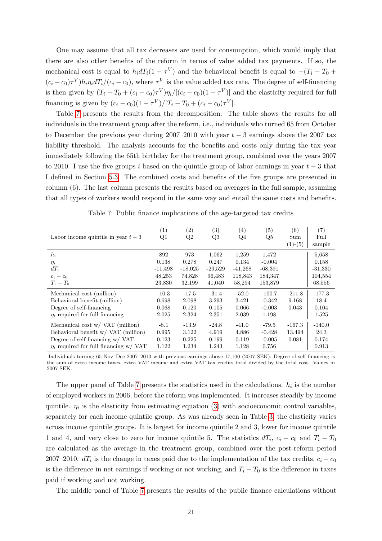One may assume that all tax decreases are used for consumption, which would imply that there are also other benefits of the reform in terms of value added tax payments. If so, the mechanical cost is equal to  $h_i dT_i(1 - \tau^V)$  and the behavioral benefit is equal to  $-(T_i - T_0 +$  $(c_i - c_0) \tau^V h_i \eta_i dT_i/(c_i - c_0)$ , where  $\tau^V$  is the value added tax rate. The degree of self-financing is then given by  $(T_i - T_0 + (c_i - c_0)\tau^V)\eta_i/[(c_i - c_0)(1 - \tau^V)]$  and the elasticity required for full financing is given by  $(c_i - c_0)(1 - \tau^V)/[T_i - T_0 + (c_i - c_0)\tau^V]$ .

Table [7](#page-20-0) presents the results from the decomposition. The table shows the results for all individuals in the treatment group after the reform, i.e., individuals who turned 65 from October to December the previous year during 2007–2010 with year  $t-3$  earnings above the 2007 tax liability threshold. The analysis accounts for the benefits and costs only during the tax year immediately following the 65th birthday for the treatment group, combined over the years 2007 to 2010. I use the five groups i based on the quintile group of labor earnings in year  $t-3$  that I defined in Section [5.3.](#page-15-0) The combined costs and benefits of the five groups are presented in column (6). The last column presents the results based on averages in the full sample, assuming that all types of workers would respond in the same way and entail the same costs and benefits.

<span id="page-20-0"></span>

| Labor income quintile in year $t-3$                                                                                                                                          | (1)<br>Q1                                     | (2)<br>Q2                                     | (3)<br>Q3                                       | (4)<br>Q4                                        | (5)<br>Q5                                            | (6)<br>Sum<br>$(1)-(5)$     | (7)<br>Full<br>sample                            |
|------------------------------------------------------------------------------------------------------------------------------------------------------------------------------|-----------------------------------------------|-----------------------------------------------|-------------------------------------------------|--------------------------------------------------|------------------------------------------------------|-----------------------------|--------------------------------------------------|
| $h_i$<br>$\eta_i$<br>$dT_i$<br>$c_i - c_0$<br>$T_i-T_0$                                                                                                                      | 892<br>0.138<br>$-11,498$<br>48,253<br>23,830 | 973<br>0.278<br>$-18,025$<br>74,828<br>32,199 | 1,062<br>0.247<br>$-29,529$<br>96,483<br>41,040 | 1,259<br>0.134<br>$-41,268$<br>118,843<br>58,294 | 1,472<br>$-0.004$<br>$-68,391$<br>184,347<br>153,879 |                             | 5,658<br>0.158<br>$-31,330$<br>104,554<br>68,556 |
| Mechanical cost (million)<br>Behavioral benefit (million)<br>Degree of self-financing<br>$\eta_i$ required for full financing                                                | $-10.3$<br>0.698<br>0.068<br>2.025            | $-17.5$<br>2.098<br>0.120<br>2.324            | $-31.4$<br>3.293<br>0.105<br>2.351              | $-52.0$<br>3.421<br>0.066<br>2.039               | $-100.7$<br>$-0.342$<br>$-0.003$<br>1.198            | $-211.8$<br>9.168<br>0.043  | $-177.3$<br>18.4<br>0.104<br>1.525               |
| Mechanical cost $w / \text{VAT}$ (million)<br>Behavioral benefit w/ VAT (million)<br>Degree of self-financing $w / \sqrt{AT}$<br>$\eta_i$ required for full financing w/ VAT | $-8.1$<br>0.995<br>0.123<br>1.122             | $-13.9$<br>3.122<br>0.225<br>1.234            | $-24.8$<br>4.919<br>0.199<br>1.243              | $-41.0$<br>4.886<br>0.119<br>1.128               | $-79.5$<br>$-0.428$<br>$-0.005$<br>0.756             | $-167.3$<br>13.494<br>0.081 | $-140.0$<br>24.3<br>0.174<br>0.913               |

Table 7: Public finance implications of the age-targeted tax credits

Individuals turning 65 Nov–Dec 2007–2010 with previous earnings above 17,100 (2007 SEK). Degree of self financing is the sum of extra income taxes, extra VAT income and extra VAT tax credits total divided by the total cost. Values in 2007 SEK.

The upper panel of Table [7](#page-20-0) presents the statistics used in the calculations.  $h_i$  is the number of employed workers in 2006, before the reform was implemented. It increases steadily by income quintile.  $\eta_i$  is the elasticity from estimating equation [\(3\)](#page-9-3) with socioeconomic control variables, separately for each income quintile group. As was already seen in Table [3,](#page-16-0) the elasticity varies across income quintile groups. It is largest for income quintile 2 and 3, lower for income quintile 1 and 4, and very close to zero for income quintile 5. The statistics  $dT_i$ ,  $c_i - c_0$  and  $T_i - T_0$ are calculated as the average in the treatment group, combined over the post-reform period 2007–2010.  $dT_i$  is the change in taxes paid due to the implementation of the tax credits,  $c_i - c_0$ is the difference in net earnings if working or not working, and  $T_i - T_0$  is the difference in taxes paid if working and not working.

The middle panel of Table [7](#page-20-0) presents the results of the public finance calculations without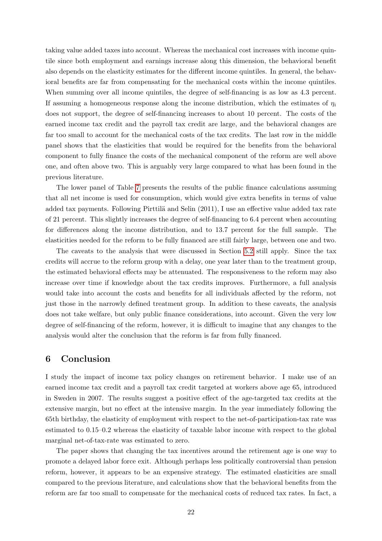taking value added taxes into account. Whereas the mechanical cost increases with income quintile since both employment and earnings increase along this dimension, the behavioral benefit also depends on the elasticity estimates for the different income quintiles. In general, the behavioral benefits are far from compensating for the mechanical costs within the income quintiles. When summing over all income quintiles, the degree of self-financing is as low as 4.3 percent. If assuming a homogeneous response along the income distribution, which the estimates of  $\eta_i$ does not support, the degree of self-financing increases to about 10 percent. The costs of the earned income tax credit and the payroll tax credit are large, and the behavioral changes are far too small to account for the mechanical costs of the tax credits. The last row in the middle panel shows that the elasticities that would be required for the benefits from the behavioral component to fully finance the costs of the mechanical component of the reform are well above one, and often above two. This is arguably very large compared to what has been found in the previous literature.

The lower panel of Table [7](#page-20-0) presents the results of the public finance calculations assuming that all net income is used for consumption, which would give extra benefits in terms of value added tax payments. Following Pirttilä and Selin (2011), I use an effective value added tax rate of 21 percent. This slightly increases the degree of self-financing to 6.4 percent when accounting for differences along the income distribution, and to 13.7 percent for the full sample. The elasticities needed for the reform to be fully financed are still fairly large, between one and two.

The caveats to the analysis that were discussed in Section [5.2](#page-13-4) still apply. Since the tax credits will accrue to the reform group with a delay, one year later than to the treatment group, the estimated behavioral effects may be attenuated. The responsiveness to the reform may also increase over time if knowledge about the tax credits improves. Furthermore, a full analysis would take into account the costs and benefits for all individuals affected by the reform, not just those in the narrowly defined treatment group. In addition to these caveats, the analysis does not take welfare, but only public finance considerations, into account. Given the very low degree of self-financing of the reform, however, it is difficult to imagine that any changes to the analysis would alter the conclusion that the reform is far from fully financed.

### <span id="page-21-0"></span>6 Conclusion

I study the impact of income tax policy changes on retirement behavior. I make use of an earned income tax credit and a payroll tax credit targeted at workers above age 65, introduced in Sweden in 2007. The results suggest a positive effect of the age-targeted tax credits at the extensive margin, but no effect at the intensive margin. In the year immediately following the 65th birthday, the elasticity of employment with respect to the net-of-participation-tax rate was estimated to 0.15–0.2 whereas the elasticity of taxable labor income with respect to the global marginal net-of-tax-rate was estimated to zero.

The paper shows that changing the tax incentives around the retirement age is one way to promote a delayed labor force exit. Although perhaps less politically controversial than pension reform, however, it appears to be an expensive strategy. The estimated elasticities are small compared to the previous literature, and calculations show that the behavioral benefits from the reform are far too small to compensate for the mechanical costs of reduced tax rates. In fact, a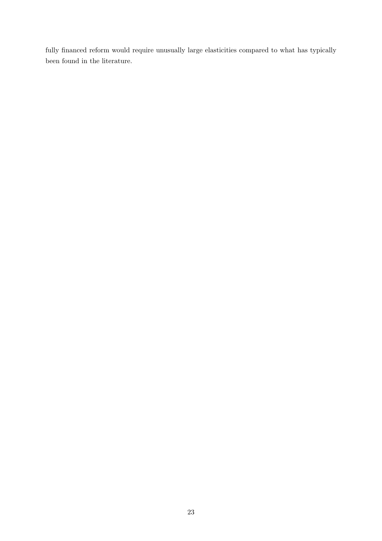fully financed reform would require unusually large elasticities compared to what has typically been found in the literature.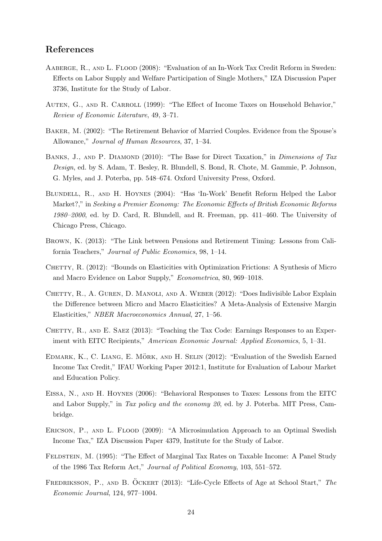### References

- Aaberge, R., and L. Flood (2008): "Evaluation of an In-Work Tax Credit Reform in Sweden: Effects on Labor Supply and Welfare Participation of Single Mothers," IZA Discussion Paper 3736, Institute for the Study of Labor.
- AUTEN, G., AND R. CARROLL (1999): "The Effect of Income Taxes on Household Behavior," Review of Economic Literature, 49, 3–71.
- Baker, M. (2002): "The Retirement Behavior of Married Couples. Evidence from the Spouse's Allowance," Journal of Human Resources, 37, 1–34.
- BANKS, J., AND P. DIAMOND (2010): "The Base for Direct Taxation," in *Dimensions of Tax* Design, ed. by S. Adam, T. Besley, R. Blundell, S. Bond, R. Chote, M. Gammie, P. Johnson, G. Myles, and J. Poterba, pp. 548–674. Oxford University Press, Oxford.
- Blundell, R., and H. Hoynes (2004): "Has 'In-Work' Benefit Reform Helped the Labor Market?," in Seeking a Premier Economy: The Economic Effects of British Economic Reforms 1980–2000, ed. by D. Card, R. Blundell, and R. Freeman, pp. 411–460. The University of Chicago Press, Chicago.
- Brown, K. (2013): "The Link between Pensions and Retirement Timing: Lessons from California Teachers," Journal of Public Economics, 98, 1–14.
- CHETTY, R. (2012): "Bounds on Elasticities with Optimization Frictions: A Synthesis of Micro and Macro Evidence on Labor Supply," Econometrica, 80, 969–1018.
- CHETTY, R., A. GUREN, D. MANOLI, AND A. WEBER (2012): "Does Indivisible Labor Explain the Difference between Micro and Macro Elasticities? A Meta-Analysis of Extensive Margin Elasticities," NBER Macroeconomics Annual, 27, 1–56.
- CHETTY, R., AND E. SAEZ (2013): "Teaching the Tax Code: Earnings Responses to an Experiment with EITC Recipients," American Economic Journal: Applied Economics, 5, 1–31.
- EDMARK, K., C. LIANG, E. MÖRK, AND H. SELIN (2012): "Evaluation of the Swedish Earned Income Tax Credit," IFAU Working Paper 2012:1, Institute for Evaluation of Labour Market and Education Policy.
- Eissa, N., and H. Hoynes (2006): "Behavioral Responses to Taxes: Lessons from the EITC and Labor Supply," in Tax policy and the economy 20, ed. by J. Poterba. MIT Press, Cambridge.
- ERICSON, P., AND L. FLOOD (2009): "A Microsimulation Approach to an Optimal Swedish Income Tax," IZA Discussion Paper 4379, Institute for the Study of Labor.
- FELDSTEIN, M. (1995): "The Effect of Marginal Tax Rates on Taxable Income: A Panel Study of the 1986 Tax Reform Act," Journal of Political Economy, 103, 551–572.
- FREDRIKSSON, P., AND B. ÖCKERT (2013): "Life-Cycle Effects of Age at School Start," The Economic Journal, 124, 977–1004.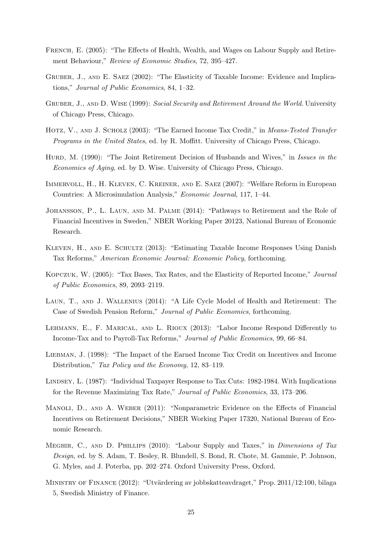- FRENCH, E. (2005): "The Effects of Health, Wealth, and Wages on Labour Supply and Retirement Behaviour," Review of Economic Studies, 72, 395–427.
- GRUBER, J., AND E. SAEZ (2002): "The Elasticity of Taxable Income: Evidence and Implications," Journal of Public Economics, 84, 1–32.
- GRUBER, J., AND D. WISE (1999): Social Security and Retirement Around the World. University of Chicago Press, Chicago.
- HOTZ, V., AND J. SCHOLZ (2003): "The Earned Income Tax Credit," in *Means-Tested Transfer* Programs in the United States, ed. by R. Mofflitt. University of Chicago Press, Chicago.
- HURD, M. (1990): "The Joint Retirement Decision of Husbands and Wives," in Issues in the Economics of Aging, ed. by D. Wise. University of Chicago Press, Chicago.
- Immervoll, H., H. Kleven, C. Kreiner, and E. Saez (2007): "Welfare Reform in European Countries: A Microsimulation Analysis," Economic Journal, 117, 1–44.
- Johansson, P., L. Laun, and M. Palme (2014): "Pathways to Retirement and the Role of Financial Incentives in Sweden," NBER Working Paper 20123, National Bureau of Economic Research.
- Kleven, H., and E. Schultz (2013): "Estimating Taxable Income Responses Using Danish Tax Reforms," American Economic Journal: Economic Policy, forthcoming.
- Kopczuk, W. (2005): "Tax Bases, Tax Rates, and the Elasticity of Reported Income," Journal of Public Economics, 89, 2093–2119.
- Laun, T., and J. Wallenius (2014): "A Life Cycle Model of Health and Retirement: The Case of Swedish Pension Reform," Journal of Public Economics, forthcoming.
- Lehmann, E., F. Marical, and L. Rioux (2013): "Labor Income Respond Differently to Income-Tax and to Payroll-Tax Reforms," Journal of Public Economics, 99, 66–84.
- Liebman, J. (1998): "The Impact of the Earned Income Tax Credit on Incentives and Income Distribution," Tax Policy and the Economy, 12, 83–119.
- Lindsey, L. (1987): "Individual Taxpayer Response to Tax Cuts: 1982-1984. With Implications for the Revenue Maximizing Tax Rate," Journal of Public Economics, 33, 173–206.
- Manoli, D., and A. Weber (2011): "Nonparametric Evidence on the Effects of Financial Incentives on Retirement Decisions," NBER Working Paper 17320, National Bureau of Economic Research.
- Meghir, C., and D. Phillips (2010): "Labour Supply and Taxes," in Dimensions of Tax Design, ed. by S. Adam, T. Besley, R. Blundell, S. Bond, R. Chote, M. Gammie, P. Johnson, G. Myles, and J. Poterba, pp. 202–274. Oxford University Press, Oxford.
- MINISTRY OF FINANCE (2012): "Utvärdering av jobbskatteavdraget," Prop. 2011/12:100, bilaga 5, Swedish Ministry of Finance.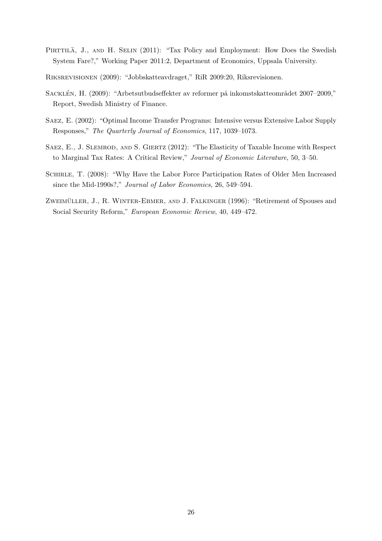- PIRTTILÄ, J., AND H. SELIN (2011): "Tax Policy and Employment: How Does the Swedish System Fare?," Working Paper 2011:2, Department of Economics, Uppsala University.
- Riksrevisionen (2009): "Jobbskatteavdraget," RiR 2009:20, Riksrevisionen.
- SACKLÉN, H. (2009): "Arbetsutbudseffekter av reformer på inkomstskatteområdet 2007–2009," Report, Swedish Ministry of Finance.
- Saez, E. (2002): "Optimal Income Transfer Programs: Intensive versus Extensive Labor Supply Responses," The Quarterly Journal of Economics, 117, 1039–1073.
- SAEZ, E., J. SLEMROD, AND S. GIERTZ (2012): "The Elasticity of Taxable Income with Respect to Marginal Tax Rates: A Critical Review," Journal of Economic Literature, 50, 3–50.
- SCHIRLE, T. (2008): "Why Have the Labor Force Participation Rates of Older Men Increased since the Mid-1990s?," Journal of Labor Economics, 26, 549–594.
- ZWEIMÜLLER, J., R. WINTER-EBMER, AND J. FALKINGER (1996): "Retirement of Spouses and Social Security Reform," European Economic Review, 40, 449–472.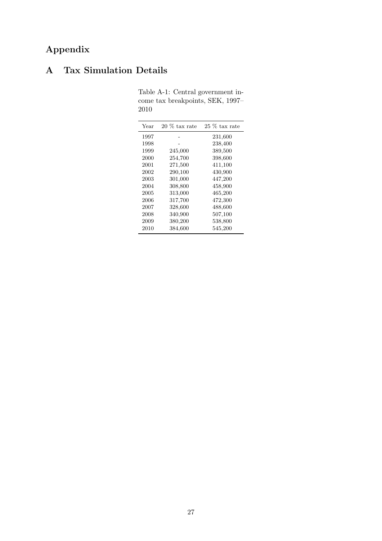## Appendix

## <span id="page-26-0"></span>A Tax Simulation Details

| Year | $20\%$ tax rate | 25 % tax rate |
|------|-----------------|---------------|
| 1997 |                 | 231,600       |
| 1998 |                 | 238,400       |
| 1999 | 245,000         | 389,500       |
| 2000 | 254,700         | 398,600       |
| 2001 | 271,500         | 411,100       |
| 2002 | 290,100         | 430,900       |
| 2003 | 301,000         | 447,200       |
| 2004 | 308,800         | 458,900       |
| 2005 | 313,000         | 465,200       |
| 2006 | 317,700         | 472,300       |
| 2007 | 328,600         | 488,600       |
| 2008 | 340,900         | 507,100       |
| 2009 | 380,200         | 538,800       |
| 2010 | 384,600         | 545,200       |

Table A-1: Central government income tax breakpoints, SEK, 1997– 2010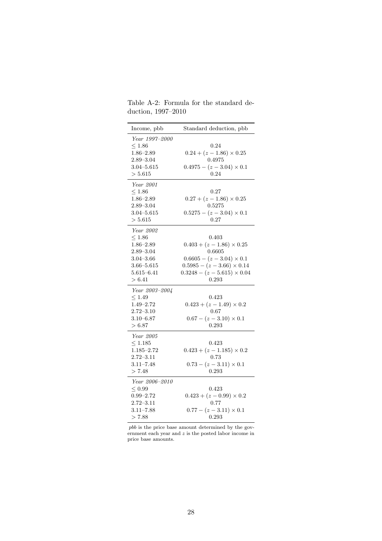| Income, pbb                                                                                                                    | Standard deduction, pbb                                                                                                                                                     |
|--------------------------------------------------------------------------------------------------------------------------------|-----------------------------------------------------------------------------------------------------------------------------------------------------------------------------|
| Year 1997-2000<br>$\leq 1.86$<br>$1.86 - 2.89$<br>$2.89 - 3.04$<br>$3.04 - 5.615$<br>>5.615                                    | 0.24<br>$0.24 + (z - 1.86) \times 0.25$<br>0.4975<br>$0.4975 - (z - 3.04) \times 0.1$<br>0.24                                                                               |
| Year 2001<br>$\leq 1.86$<br>$1.86 - 2.89$<br>$2.89 - 3.04$<br>$3.04 - 5.615$<br>> 5.615                                        | 0.27<br>$0.27 + (z - 1.86) \times 0.25$<br>0.5275<br>$0.5275 - (z - 3.04) \times 0.1$<br>0.27                                                                               |
| Year 2002<br>${}_{\leq 1.86}$<br>$1.86 - 2.89$<br>$2.89 - 3.04$<br>$3.04 - 3.66$<br>$3.66 - 5.615$<br>$5.615 - 6.41$<br>> 6.41 | 0.403<br>$0.403 + (z - 1.86) \times 0.25$<br>0.6605<br>$0.6605 - (z - 3.04) \times 0.1$<br>$0.5985 - (z - 3.66) \times 0.14$<br>$0.3248 - (z - 5.615) \times 0.04$<br>0.293 |
| Year 2003-2004<br>$\leq 1.49$<br>$1.49 - 2.72$<br>$2.72 - 3.10$<br>$3.10 - 6.87$<br>> 6.87                                     | 0.423<br>$0.423 + (z - 1.49) \times 0.2$<br>0.67<br>$0.67 - (z - 3.10) \times 0.1$<br>0.293                                                                                 |
| Year 2005<br>$\leq 1.185$<br>$1.185 - 2.72$<br>$2.72 - 3.11$<br>$3.11 - 7.48$<br>> 7.48                                        | 0.423<br>$0.423 + (z - 1.185) \times 0.2$<br>0.73<br>$0.73 - (z - 3.11) \times 0.1$<br>0.293                                                                                |
| Year 2006–2010<br>$\leq 0.99$<br>$0.99 - 2.72$<br>$2.72 - 3.11$<br>$3.11 - 7.88$<br>> 7.88                                     | 0.423<br>$0.423 + (z - 0.99) \times 0.2$<br>0.77<br>$0.77 - (z - 3.11) \times 0.1$<br>0.293                                                                                 |

Table A-2: Formula for the standard deduction, 1997–2010

pbb is the price base amount determined by the government each year and z is the posted labor income in price base amounts.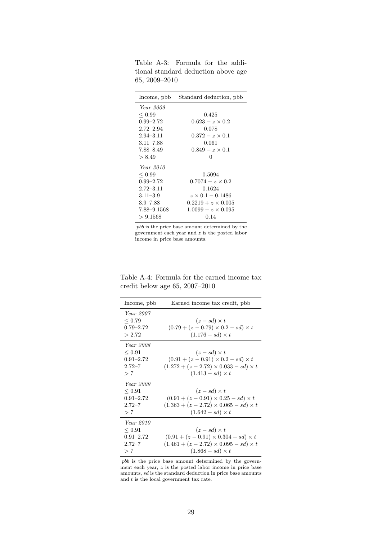| Income, pbb      | Standard deduction, pbb   |
|------------------|---------------------------|
| <i>Year</i> 2009 |                           |
| ${}_{\leq 0.99}$ | 0.425                     |
| $0.99 - 2.72$    | $0.623 - z \times 0.2$    |
| $2.72 - 2.94$    | 0.078                     |
| $2.94 - 3.11$    | $0.372 - z \times 0.1$    |
| $3.11 - 7.88$    | 0.061                     |
| 7.88-8.49        | $0.849 - z \times 0.1$    |
| > 8.49           | 0                         |
| <i>Year</i> 2010 |                           |
| ${}_{\leq 0.99}$ | 0.5094                    |
| $0.99 - 2.72$    | $0.7074 - z \times 0.2$   |
| $2.72 - 3.11$    | 0.1624                    |
| $3.11 - 3.9$     | $z \times 0.1 - 0.1486$   |
| $3.9 - 7.88$     | $0.2219 + z \times 0.005$ |
| 7.88–9.1568      | $1.0099 - z \times 0.095$ |
| > 9.1568         | 0.14                      |

Table A-3: Formula for the additional standard deduction above age 65, 2009–2010

pbb is the price base amount determined by the government each year and  $z$  is the posted labor income in price base amounts.

Table A-4: Formula for the earned income tax credit below age 65, 2007–2010

| Income, pbb      | Earned income tax credit, pbb                     |
|------------------|---------------------------------------------------|
| <i>Year</i> 2007 |                                                   |
| < 0.79           | $(z-sd)\times t$                                  |
| $0.79 - 2.72$    | $(0.79 + (z - 0.79) \times 0.2 - sd) \times t$    |
|                  |                                                   |
| > 2.72           | $(1.176 - sd) \times t$                           |
| Year 2008        |                                                   |
| ${}_{\leq 0.91}$ | $(z-sd) \times t$                                 |
| $0.91 - 2.72$    | $(0.91 + (z - 0.91) \times 0.2 - sd) \times t$    |
| $2.72 - 7$       | $(1.272 + (z - 2.72) \times 0.033 - sd) \times t$ |
| > 7              | $(1.413 - sd) \times t$                           |
|                  |                                                   |
| Year 2009        |                                                   |
| < 0.91           | $(z-sd) \times t$                                 |
| $0.91 - 2.72$    | $(0.91 + (z - 0.91) \times 0.25 - sd) \times t$   |
| $2.72 - 7$       | $(1.363 + (z - 2.72) \times 0.065 - sd) \times t$ |
| > 7              | $(1.642 - sd) \times t$                           |
| Year 2010        |                                                   |
| < 0.91           | $(z-sd)\times t$                                  |
| $0.91 - 2.72$    | $(0.91 + (z - 0.91) \times 0.304 - sd) \times t$  |
| $2.72 - 7$       | $(1.461 + (z - 2.72) \times 0.095 - sd) \times t$ |
| > 7              | $(1.868 - sd) \times t$                           |
|                  |                                                   |

pbb is the price base amount determined by the government each year,  $z$  is the posted labor income in price base amounts,  $sd$  is the standard deduction in price base amounts and  $t$  is the local government tax rate.